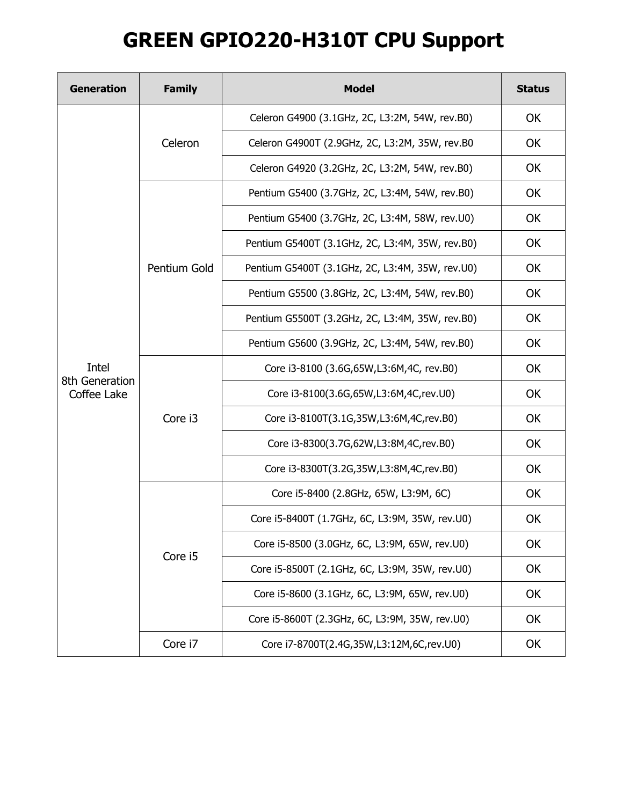## **GREEN GPIO220-H310T CPU Support**

| <b>Generation</b>                      | <b>Family</b> | <b>Model</b>                                    | <b>Status</b> |
|----------------------------------------|---------------|-------------------------------------------------|---------------|
| Intel<br>8th Generation<br>Coffee Lake | Celeron       | Celeron G4900 (3.1GHz, 2C, L3:2M, 54W, rev.B0)  | <b>OK</b>     |
|                                        |               | Celeron G4900T (2.9GHz, 2C, L3:2M, 35W, rev.B0  | OK            |
|                                        |               | Celeron G4920 (3.2GHz, 2C, L3:2M, 54W, rev.B0)  | <b>OK</b>     |
|                                        | Pentium Gold  | Pentium G5400 (3.7GHz, 2C, L3:4M, 54W, rev.B0)  | OK            |
|                                        |               | Pentium G5400 (3.7GHz, 2C, L3:4M, 58W, rev.U0)  | OK            |
|                                        |               | Pentium G5400T (3.1GHz, 2C, L3:4M, 35W, rev.B0) | OK            |
|                                        |               | Pentium G5400T (3.1GHz, 2C, L3:4M, 35W, rev.U0) | OK            |
|                                        |               | Pentium G5500 (3.8GHz, 2C, L3:4M, 54W, rev.B0)  | OK            |
|                                        |               | Pentium G5500T (3.2GHz, 2C, L3:4M, 35W, rev.B0) | OK            |
|                                        |               | Pentium G5600 (3.9GHz, 2C, L3:4M, 54W, rev.B0)  | OK            |
|                                        | Core i3       | Core i3-8100 (3.6G, 65W, L3:6M, 4C, rev. B0)    | OK            |
|                                        |               | Core i3-8100(3.6G,65W,L3:6M,4C,rev.U0)          | OK            |
|                                        |               | Core i3-8100T(3.1G,35W,L3:6M,4C,rev.B0)         | OK            |
|                                        |               | Core i3-8300(3.7G,62W,L3:8M,4C,rev.B0)          | OK            |
|                                        |               | Core i3-8300T(3.2G,35W,L3:8M,4C,rev.B0)         | OK            |
|                                        | Core i5       | Core i5-8400 (2.8GHz, 65W, L3:9M, 6C)           | OK            |
|                                        |               | Core i5-8400T (1.7GHz, 6C, L3:9M, 35W, rev.U0)  | OK            |
|                                        |               | Core i5-8500 (3.0GHz, 6C, L3:9M, 65W, rev.U0)   | OK            |
|                                        |               | Core i5-8500T (2.1GHz, 6C, L3:9M, 35W, rev.U0)  | OK            |
|                                        |               | Core i5-8600 (3.1GHz, 6C, L3:9M, 65W, rev.U0)   | OK            |
|                                        |               | Core i5-8600T (2.3GHz, 6C, L3:9M, 35W, rev.U0)  | OK            |
|                                        | Core i7       | Core i7-8700T(2.4G,35W,L3:12M,6C,rev.U0)        | OK            |